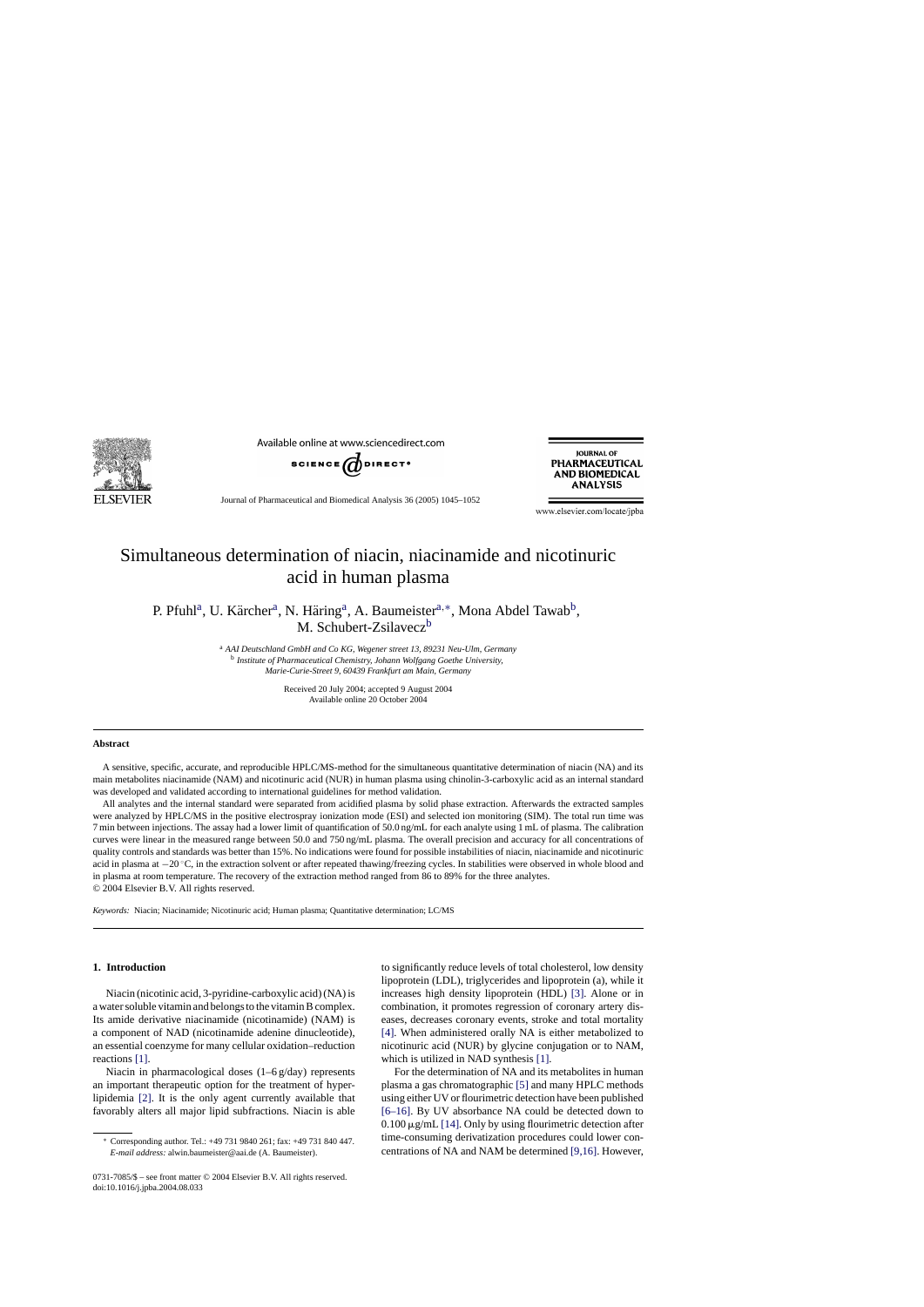

Available online at www.sciencedirect.com



**IQURNAL OF** PHARMACEUTICAL **AND BIOMEDICAL ANALYSIS** 

Journal of Pharmaceutical and Biomedical Analysis 36 (2005) 1045–1052

www.elsevier.com/locate/jpba

# Simultaneous determination of niacin, niacinamide and nicotinuric acid in human plasma

P. Pfuhl<sup>a</sup>, U. Kärcher<sup>a</sup>, N. Häring<sup>a</sup>, A. Baumeister<sup>a,\*</sup>, Mona Abdel Tawab<sup>b</sup>, M. Schubert-Zsilavecz<sup>b</sup>

> <sup>a</sup>*AAI Deutschland GmbH and Co KG, Wegener street 13, 89231 Neu-Ulm, Germany* <sup>b</sup>*Institute of Pharmaceutical Chemistry, Johann Wolfgang Goethe University, Marie-Curie-Street 9, 60439 Frankfurt am Main, Germany*

> > Received 20 July 2004; accepted 9 August 2004 Available online 20 October 2004

#### **Abstract**

A sensitive, specific, accurate, and reproducible HPLC/MS-method for the simultaneous quantitative determination of niacin (NA) and its main metabolites niacinamide (NAM) and nicotinuric acid (NUR) in human plasma using chinolin-3-carboxylic acid as an internal standard was developed and validated according to international guidelines for method validation.

All analytes and the internal standard were separated from acidified plasma by solid phase extraction. Afterwards the extracted samples were analyzed by HPLC/MS in the positive electrospray ionization mode (ESI) and selected ion monitoring (SIM). The total run time was 7 min between injections. The assay had a lower limit of quantification of 50.0 ng/mL for each analyte using 1 mL of plasma. The calibration curves were linear in the measured range between 50.0 and 750 ng/mL plasma. The overall precision and accuracy for all concentrations of quality controls and standards was better than 15%. No indications were found for possible instabilities of niacin, niacinamide and nicotinuric acid in plasma at −20 ◦C, in the extraction solvent or after repeated thawing/freezing cycles. In stabilities were observed in whole blood and in plasma at room temperature. The recovery of the extraction method ranged from 86 to 89% for the three analytes. © 2004 Elsevier B.V. All rights reserved.

*Keywords:* Niacin; Niacinamide; Nicotinuric acid; Human plasma; Quantitative determination; LC/MS

## **1. Introduction**

Niacin (nicotinic acid, 3-pyridine-carboxylic acid) (NA) is a water soluble vitamin and belongs to the vitamin B complex. Its amide derivative niacinamide (nicotinamide) (NAM) is a component of NAD (nicotinamide adenine dinucleotide), an essential coenzyme for many cellular oxidation–reduction reactions [\[1\].](#page-7-0) 

Niacin in pharmacological doses (1–6 g/day) represents an important therapeutic option for the treatment of hyperlipidemia [\[2\].](#page-7-0) It is the only agent currently available that favorably alters all major lipid subfractions. Niacin is able to significantly reduce levels of total cholesterol, low density lipoprotein (LDL), triglycerides and lipoprotein (a), while it increases high density lipoprotein (HDL) [\[3\].](#page-7-0) Alone or in combination, it promotes regression of coronary artery diseases, decreases coronary events, stroke and total mortality [\[4\].](#page-7-0) When administered orally NA is either metabolized to nicotinuric acid (NUR) by glycine conjugation or to NAM, which is utilized in NAD synthesis [\[1\].](#page-7-0) 

For the determination of NA and its metabolites in human plasma a gas chromatographic [\[5\] a](#page-7-0)nd many HPLC methods using either UV or flourimetric detection have been published [\[6–16\].](#page-7-0) By UV absorbance NA could be detected down to  $0.100 \mu$ g/mL [\[14\]. O](#page-7-0)nly by using flourimetric detection after time-consuming derivatization procedures could lower concentrations of NA and NAM be determined [\[9,16\]. H](#page-7-0)owever,

<sup>∗</sup> Corresponding author. Tel.: +49 731 9840 261; fax: +49 731 840 447. *E-mail address:* alwin.baumeister@aai.de (A. Baumeister).

<sup>0731-7085/\$ –</sup> see front matter © 2004 Elsevier B.V. All rights reserved. doi:10.1016/j.jpba.2004.08.033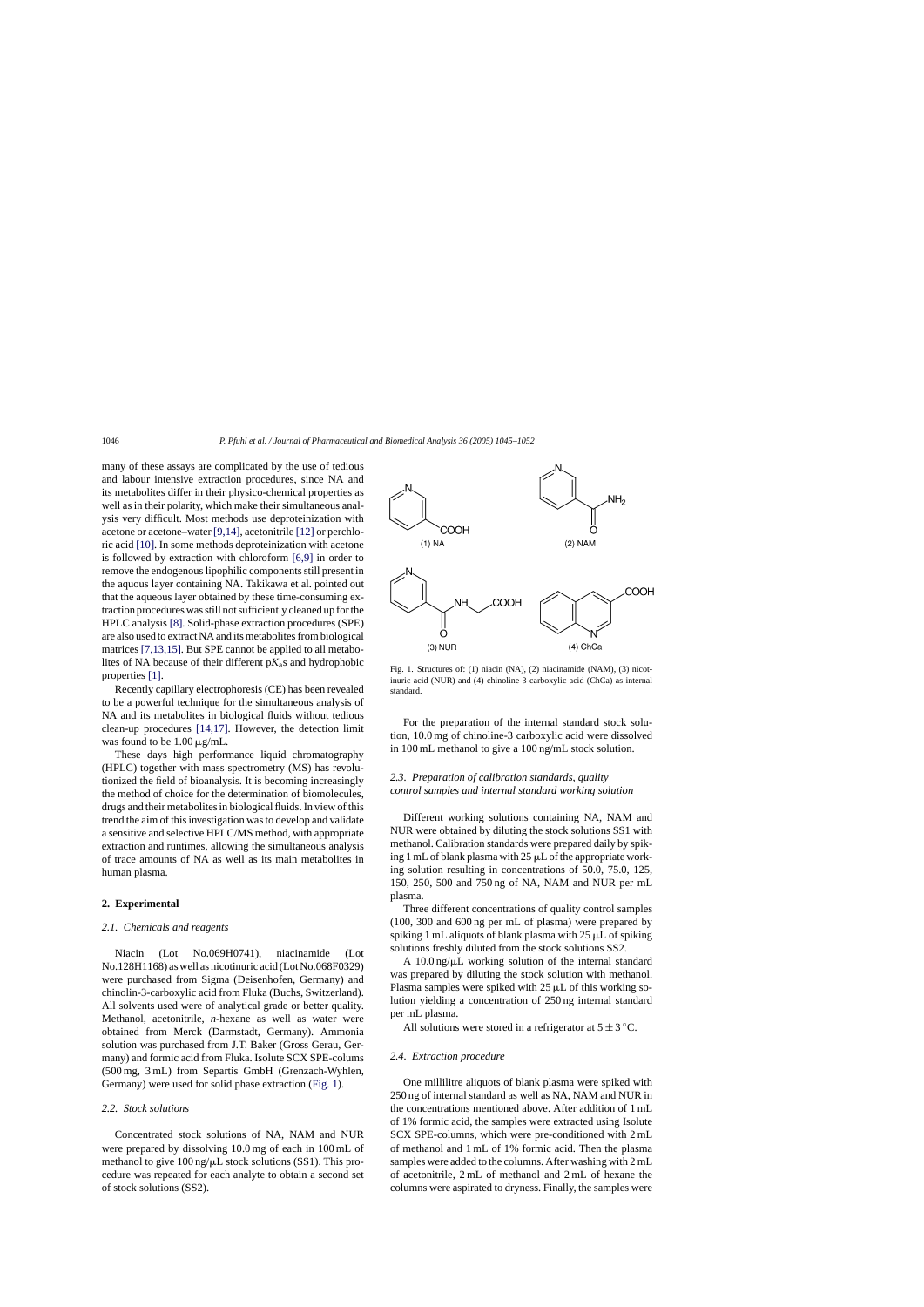many of these assays are complicated by the use of tedious and labour intensive extraction procedures, since NA and its metabolites differ in their physico-chemical properties as well as in their polarity, which make their simultaneous analysis very difficult. Most methods use deproteinization with acetone or acetone–water [\[9,14\], a](#page-7-0)cetonitrile [\[12\] o](#page-7-0)r perchloric acid [\[10\]. I](#page-7-0)n some methods deproteinization with acetone is followed by extraction with chloroform [\[6,9\] i](#page-7-0)n order to remove the endogenous lipophilic components still present in the aquous layer containing NA. Takikawa et al. pointed out that the aqueous layer obtained by these time-consuming extraction procedures was still not sufficiently cleaned up for the HPLC analysis [\[8\].](#page-7-0) Solid-phase extraction procedures (SPE) are also used to extract NA and its metabolites from biological matrices [\[7,13,15\]. B](#page-7-0)ut SPE cannot be applied to all metabolites of NA because of their different  $pK<sub>a</sub>$ s and hydrophobic properties [\[1\].](#page-7-0) 

Recently capillary electrophoresis (CE) has been revealed to be a powerful technique for the simultaneous analysis of NA and its metabolites in biological fluids without tedious clean-up procedures [\[14,17\].](#page-7-0) However, the detection limit was found to be  $1.00 \mu g/mL$ .

These days high performance liquid chromatography (HPLC) together with mass spectrometry (MS) has revolutionized the field of bioanalysis. It is becoming increasingly the method of choice for the determination of biomolecules, drugs and their metabolites in biological fluids. In view of this trend the aim of this investigation was to develop and validate a sensitive and selective HPLC/MS method, with appropriate extraction and runtimes, allowing the simultaneous analysis of trace amounts of NA as well as its main metabolites in human plasma.

## **2. Experimental**

#### *2.1. Chemicals and reagents*

Niacin (Lot No.069H0741), niacinamide (Lot No.128H1168) as well as nicotinuric acid (Lot No.068F0329) were purchased from Sigma (Deisenhofen, Germany) and chinolin-3-carboxylic acid from Fluka (Buchs, Switzerland). All solvents used were of analytical grade or better quality. Methanol, acetonitrile, *n*-hexane as well as water were obtained from Merck (Darmstadt, Germany). Ammonia solution was purchased from J.T. Baker (Gross Gerau, Germany) and formic acid from Fluka. Isolute SCX SPE-colums (500 mg, 3 mL) from Separtis GmbH (Grenzach-Wyhlen, Germany) were used for solid phase extraction (Fig. 1).

## *2.2. Stock solutions*

Concentrated stock solutions of NA, NAM and NUR were prepared by dissolving 10.0 mg of each in 100 mL of methanol to give  $100$  ng/ $\mu$ L stock solutions (SS1). This procedure was repeated for each analyte to obtain a second set of stock solutions (SS2).



Fig. 1. Structures of: (1) niacin (NA), (2) niacinamide (NAM), (3) nicotinuric acid (NUR) and (4) chinoline-3-carboxylic acid (ChCa) as internal standard.

For the preparation of the internal standard stock solution, 10.0 mg of chinoline-3 carboxylic acid were dissolved in 100 mL methanol to give a 100 ng/mL stock solution.

# *2.3. Preparation of calibration standards, quality control samples and internal standard working solution*

Different working solutions containing NA, NAM and NUR were obtained by diluting the stock solutions SS1 with methanol. Calibration standards were prepared daily by spiking 1 mL of blank plasma with  $25 \mu L$  of the appropriate working solution resulting in concentrations of 50.0, 75.0, 125, 150, 250, 500 and 750 ng of NA, NAM and NUR per mL plasma.

Three different concentrations of quality control samples (100, 300 and 600 ng per mL of plasma) were prepared by spiking 1 mL aliquots of blank plasma with  $25 \mu L$  of spiking solutions freshly diluted from the stock solutions SS2.

A  $10.0 \text{ ng/}\mu\text{L}$  working solution of the internal standard was prepared by diluting the stock solution with methanol. Plasma samples were spiked with  $25 \mu L$  of this working solution yielding a concentration of 250 ng internal standard per mL plasma.

All solutions were stored in a refrigerator at  $5 \pm 3$  °C.

#### *2.4. Extraction procedure*

One millilitre aliquots of blank plasma were spiked with 250 ng of internal standard as well as NA, NAM and NUR in the concentrations mentioned above. After addition of 1 mL of 1% formic acid, the samples were extracted using Isolute SCX SPE-columns, which were pre-conditioned with 2 mL of methanol and 1 mL of 1% formic acid. Then the plasma samples were added to the columns. After washing with 2 mL of acetonitrile, 2 mL of methanol and 2 mL of hexane the columns were aspirated to dryness. Finally, the samples were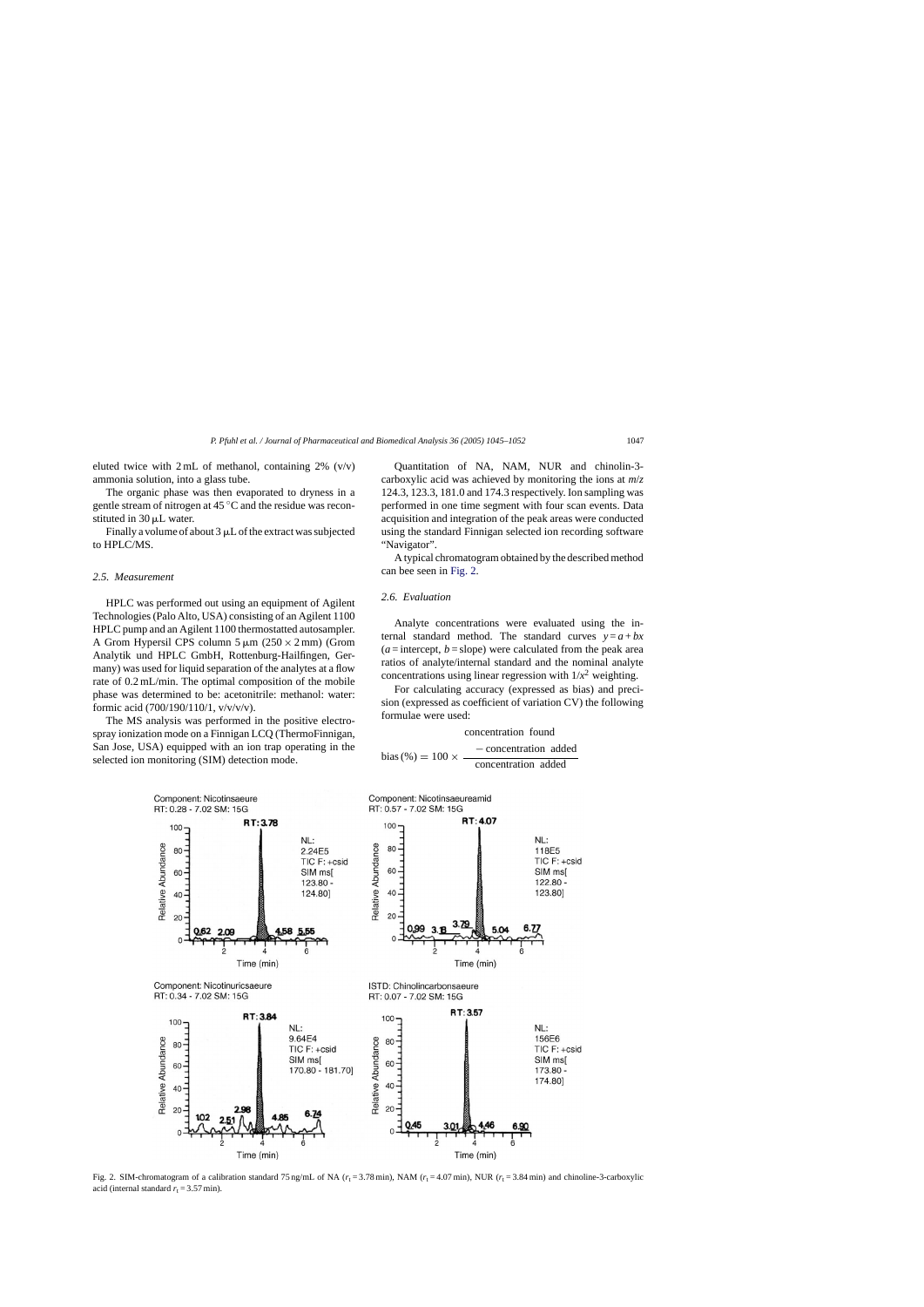<span id="page-2-0"></span>eluted twice with  $2 \text{ mL of methanol, containing } 2\%$  (v/v) ammonia solution, into a glass tube.

The organic phase was then evaporated to dryness in a gentle stream of nitrogen at 45 ◦C and the residue was reconstituted in  $30 \mu L$  water.

Finally a volume of about  $3 \mu L$  of the extract was subjected to HPLC/MS.

## *2.5. Measurement*

HPLC was performed out using an equipment of Agilent Technologies (Palo Alto, USA) consisting of an Agilent 1100 HPLC pump and an Agilent 1100 thermostatted autosampler. A Grom Hypersil CPS column  $5 \mu m$  (250 × 2 mm) (Grom Analytik und HPLC GmbH, Rottenburg-Hailfingen, Germany) was used for liquid separation of the analytes at a flow rate of 0.2 mL/min. The optimal composition of the mobile phase was determined to be: acetonitrile: methanol: water: formic acid (700/190/110/1, v/v/v/v).

The MS analysis was performed in the positive electrospray ionization mode on a Finnigan LCQ (ThermoFinnigan, San Jose, USA) equipped with an ion trap operating in the selected ion monitoring (SIM) detection mode.

Quantitation of NA, NAM, NUR and chinolin-3 carboxylic acid was achieved by monitoring the ions at *m*/*z* 124.3, 123.3, 181.0 and 174.3 respectively. Ion sampling was performed in one time segment with four scan events. Data acquisition and integration of the peak areas were conducted using the standard Finnigan selected ion recording software "Navigator".

A typical chromatogram obtained by the described method can bee seen in Fig. 2.

#### *2.6. Evaluation*

Analyte concentrations were evaluated using the internal standard method. The standard curves  $y = a + bx$  $(a =$  intercept,  $b =$ slope) were calculated from the peak area ratios of analyte/internal standard and the nominal analyte concentrations using linear regression with  $1/x^2$  weighting.

For calculating accuracy (expressed as bias) and precision (expressed as coefficient of variation CV) the following formulae were used:

#### concentration found

− concentration added bias (%) <sup>=</sup> <sup>100</sup><sup>×</sup> concentration added



Fig. 2. SIM-chromatogram of a calibration standard 75 ng/mL of NA ( $r_t$  = 3.78 min), NAM ( $r_t$  = 4.07 min), NUR ( $r_t$  = 3.84 min) and chinoline-3-carboxylic acid (internal standard  $r_t = 3.57$  min).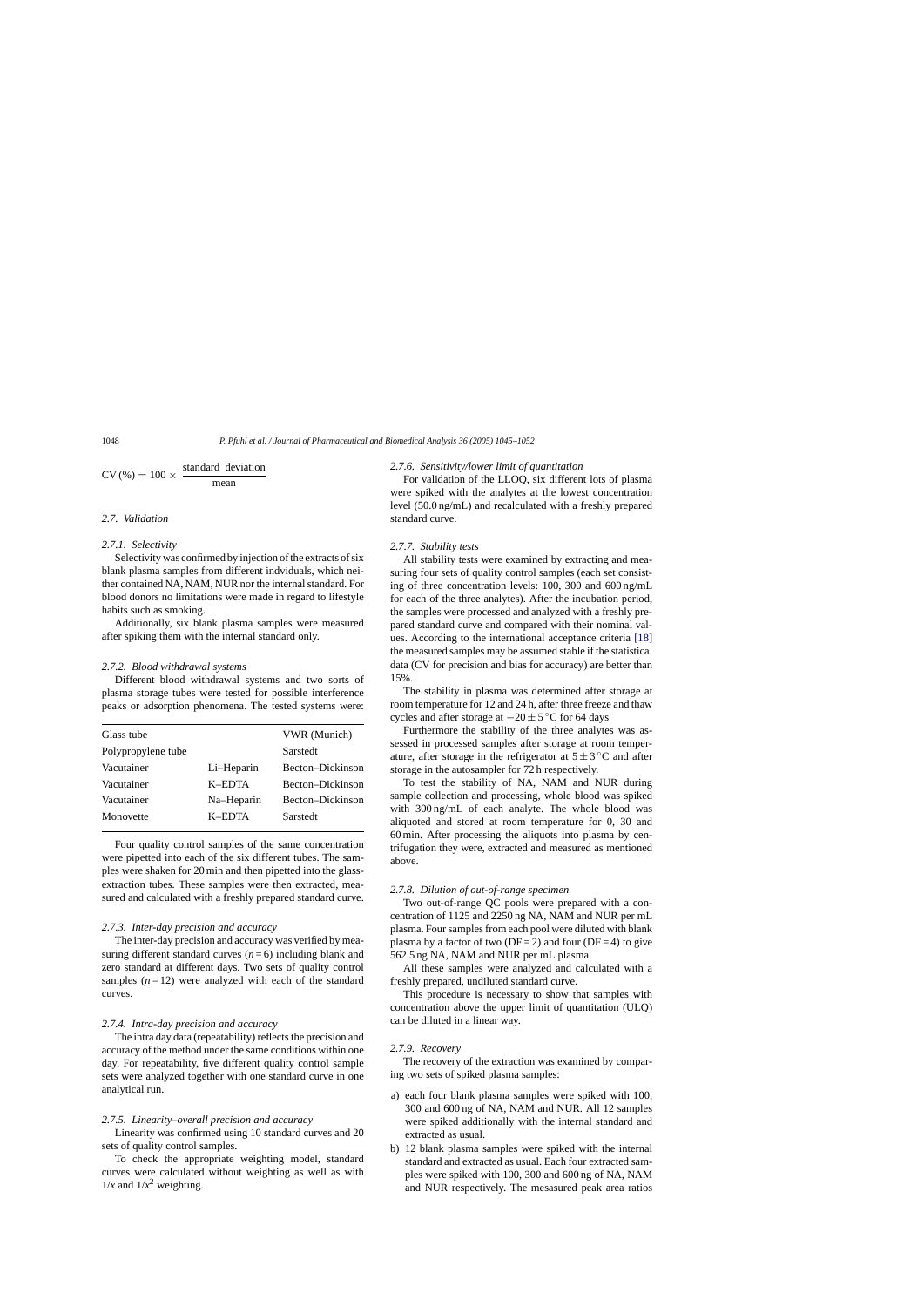$$
CV(\%) = 100 \times \frac{\text{standard deviation}}{\text{mean}}
$$

## *2.7. Validation*

# *2.7.1. Selectivity*

Selectivity was confirmed by injection of the extracts of six blank plasma samples from different indviduals, which neither contained NA, NAM, NUR nor the internal standard. For blood donors no limitations were made in regard to lifestyle habits such as smoking.

Additionally, six blank plasma samples were measured after spiking them with the internal standard only.

## *2.7.2. Blood withdrawal systems*

Different blood withdrawal systems and two sorts of plasma storage tubes were tested for possible interference peaks or adsorption phenomena. The tested systems were:

| Glass tube         |            | VWR (Munich)     |
|--------------------|------------|------------------|
| Polypropylene tube |            | Sarstedt         |
| Vacutainer         | Li-Heparin | Becton-Dickinson |
| Vacutainer         | K-EDTA     | Becton-Dickinson |
| Vacutainer         | Na-Heparin | Becton-Dickinson |
| Monovette          | K-EDTA     | Sarstedt         |

Four quality control samples of the same concentration were pipetted into each of the six different tubes. The samples were shaken for 20 min and then pipetted into the glassextraction tubes. These samples were then extracted, measured and calculated with a freshly prepared standard curve.

## *2.7.3. Inter-day precision and accuracy*

The inter-day precision and accuracy was verified by measuring different standard curves  $(n=6)$  including blank and zero standard at different days. Two sets of quality control samples  $(n=12)$  were analyzed with each of the standard curves.

#### *2.7.4. Intra-day precision and accuracy*

The intra day data (repeatability) reflects the precision and accuracy of the method under the same conditions within one day. For repeatability, five different quality control sample sets were analyzed together with one standard curve in one analytical run.

## *2.7.5. Linearity–overall precision and accuracy*

Linearity was confirmed using 10 standard curves and 20 sets of quality control samples.

To check the appropriate weighting model, standard curves were calculated without weighting as well as with  $1/x$  and  $1/x^2$  weighting.

#### *2.7.6. Sensitivity/lower limit of quantitation*

For validation of the LLOQ, six different lots of plasma were spiked with the analytes at the lowest concentration level (50.0 ng/mL) and recalculated with a freshly prepared standard curve.

#### *2.7.7. Stability tests*

All stability tests were examined by extracting and measuring four sets of quality control samples (each set consisting of three concentration levels: 100, 300 and 600 ng/mL for each of the three analytes). After the incubation period, the samples were processed and analyzed with a freshly prepared standard curve and compared with their nominal values. According to the international acceptance criteria [\[18\]](#page-7-0)  the measured samples may be assumed stable if the statistical data (CV for precision and bias for accuracy) are better than 15%.

The stability in plasma was determined after storage at room temperature for 12 and 24 h, after three freeze and thaw cycles and after storage at  $-20 \pm 5$  °C for 64 days

Furthermore the stability of the three analytes was assessed in processed samples after storage at room temperature, after storage in the refrigerator at  $5 \pm 3$  °C and after storage in the autosampler for 72 h respectively.

To test the stability of NA, NAM and NUR during sample collection and processing, whole blood was spiked with 300 ng/mL of each analyte. The whole blood was aliquoted and stored at room temperature for 0, 30 and 60 min. After processing the aliquots into plasma by centrifugation they were, extracted and measured as mentioned above.

## *2.7.8. Dilution of out-of-range specimen*

Two out-of-range QC pools were prepared with a concentration of 1125 and 2250 ng NA, NAM and NUR per mL plasma. Four samples from each pool were diluted with blank plasma by a factor of two ( $DF = 2$ ) and four ( $DF = 4$ ) to give 562.5 ng NA, NAM and NUR per mL plasma.

All these samples were analyzed and calculated with a freshly prepared, undiluted standard curve.

This procedure is necessary to show that samples with concentration above the upper limit of quantitation (ULQ) can be diluted in a linear way.

#### *2.7.9. Recovery*

The recovery of the extraction was examined by comparing two sets of spiked plasma samples:

- a) each four blank plasma samples were spiked with 100, 300 and 600 ng of NA, NAM and NUR. All 12 samples were spiked additionally with the internal standard and extracted as usual.
- b) 12 blank plasma samples were spiked with the internal standard and extracted as usual. Each four extracted samples were spiked with 100, 300 and 600 ng of NA, NAM and NUR respectively. The mesasured peak area ratios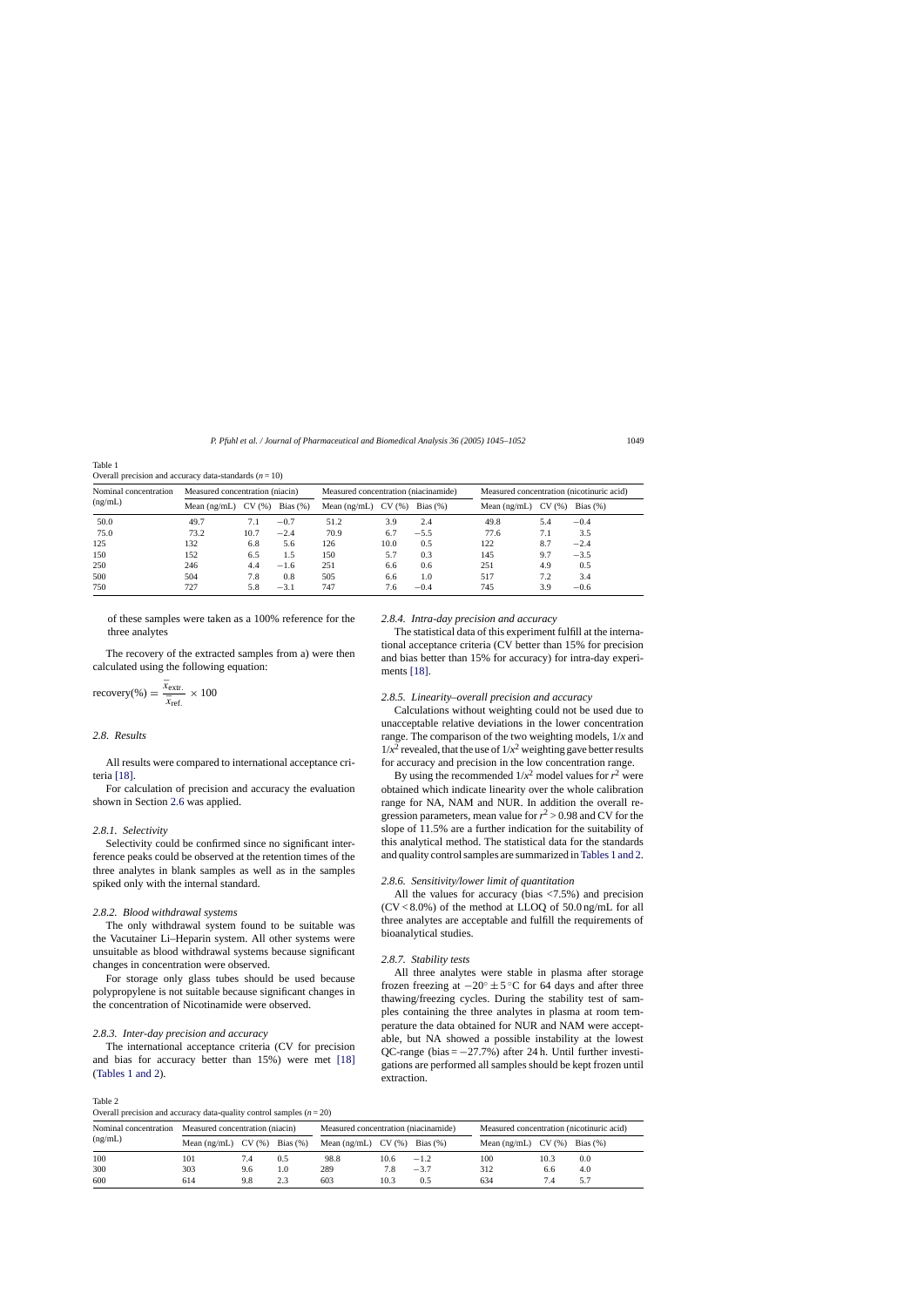Table 1 Overall precision and accuracy data-standards  $(n = 10)$ 

| Nominal concentration<br>(ng/mL) | Measured concentration (niacin) |                   |             | Measured concentration (niacinamide) |                  |             | Measured concentration (nicotinuric acid) |                   |             |
|----------------------------------|---------------------------------|-------------------|-------------|--------------------------------------|------------------|-------------|-------------------------------------------|-------------------|-------------|
|                                  | Mean $(ng/mL)$                  | <b>CV</b><br>(% ) | Bias $(\%)$ | Mean $(ng/mL)$                       | <b>CV</b><br>(%) | Bias $(\%)$ | Mean $(ng/mL)$                            | <b>CV</b><br>(96) | Bias $(\%)$ |
| 50.0                             | 49.7                            | 7.1               | $-0.7$      | 51.2                                 | 3.9              | 2.4         | 49.8                                      | 5.4               | $-0.4$      |
| 75.0                             | 73.2                            | 10.7              | $-2.4$      | 70.9                                 | 6.7              | $-5.5$      | 77.6                                      | 7.1               | 3.5         |
| 125                              | 132                             | 6.8               | 5.6         | 126                                  | 10.0             | 0.5         | 122                                       | 8.7               | $-2.4$      |
| 150                              | 152                             | 6.5               | 1.5         | 150                                  | 5.7              | 0.3         | 145                                       | 9.7               | $-3.5$      |
| 250                              | 246                             | 4.4               | $-1.6$      | 251                                  | 6.6              | 0.6         | 251                                       | 4.9               | 0.5         |
| 500                              | 504                             | 7.8               | 0.8         | 505                                  | 6.6              | 1.0         | 517                                       | 7.2               | 3.4         |
| 750                              | 727                             | 5.8               | $-3.1$      | 747                                  | 7.6              | $-0.4$      | 745                                       | 3.9               | $-0.6$      |

of these samples were taken as a 100% reference for the three analytes

The recovery of the extracted samples from a) were then calculated using the following equation:

$$
\text{recovery}(\%) = \frac{\bar{x}_{\text{extr.}}}{\bar{x}_{\text{ref.}}} \times 100
$$

# *2.8. Results*

All results were compared to international acceptance criteria [\[18\].](#page-7-0) 

For calculation of precision and accuracy the evaluation shown in Section [2.6 w](#page-2-0)as applied.

## *2.8.1. Selectivity*

Selectivity could be confirmed since no significant interference peaks could be observed at the retention times of the three analytes in blank samples as well as in the samples spiked only with the internal standard.

## *2.8.2. Blood withdrawal systems*

The only withdrawal system found to be suitable was the Vacutainer Li–Heparin system. All other systems were unsuitable as blood withdrawal systems because significant changes in concentration were observed.

For storage only glass tubes should be used because polypropylene is not suitable because significant changes in the concentration of Nicotinamide were observed.

# *2.8.3. Inter-day precision and accuracy*

The international acceptance criteria (CV for precision and bias for accuracy better than 15%) were met [\[18\]](#page-7-0)  (Tables 1 and 2).

*2.8.4. Intra-day precision and accuracy*

The statistical data of this experiment fulfill at the international acceptance criteria (CV better than 15% for precision and bias better than 15% for accuracy) for intra-day experiments [\[18\].](#page-7-0) 

## *2.8.5. Linearity–overall precision and accuracy*

Calculations without weighting could not be used due to unacceptable relative deviations in the lower concentration range. The comparison of the two weighting models, 1/*x* and  $1/x^2$  revealed, that the use of  $1/x^2$  weighting gave better results for accuracy and precision in the low concentration range.

By using the recommended  $1/x^2$  model values for  $r^2$  were obtained which indicate linearity over the whole calibration range for NA, NAM and NUR. In addition the overall regression parameters, mean value for  $r^2 > 0.98$  and CV for the slope of 11.5% are a further indication for the suitability of this analytical method. The statistical data for the standards and quality control samples are summarized in Tables 1 and 2.

## *2.8.6. Sensitivity/lower limit of quantitation*

All the values for accuracy (bias <7.5%) and precision  $(CV < 8.0\%)$  of the method at LLOQ of 50.0 ng/mL for all three analytes are acceptable and fulfill the requirements of bioanalytical studies.

## *2.8.7. Stability tests*

All three analytes were stable in plasma after storage frozen freezing at  $-20^\circ \pm 5^\circ \text{C}$  for 64 days and after three thawing/freezing cycles. During the stability test of samples containing the three analytes in plasma at room temperature the data obtained for NUR and NAM were acceptable, but NA showed a possible instability at the lowest QC-range (bias  $= -27.7\%$ ) after 24 h. Until further investigations are performed all samples should be kept frozen until extraction.

| Table 2                                                              |  |
|----------------------------------------------------------------------|--|
| Overall precision and accuracy data-quality control samples $(n=20)$ |  |

| Nominal concentration<br>(ng/mL) | Measured concentration (niacin)      |     |     | Measured concentration (niacinamide) |      |             | Measured concentration (nicotinuric acid) |      |             |
|----------------------------------|--------------------------------------|-----|-----|--------------------------------------|------|-------------|-------------------------------------------|------|-------------|
|                                  | Mean $(ng/mL)$ CV $(\%)$ Bias $(\%)$ |     |     | Mean $(ng/mL)$ CV $(\%)$             |      | Bias $(\%)$ | Mean $(ng/mL)$ CV $(\%)$                  |      | Bias $(\%)$ |
| 100                              | 101                                  | .4  | 0.5 | 98.8                                 | 10.6 | $-1.2$      | 100                                       | 10.3 | 0.0         |
| 300                              | 303                                  | 9.6 | 1.0 | 289                                  | 7.8  | $-3.7$      | 312                                       | 6.6  | 4.0         |
| 600                              | 614                                  | 9.8 | 2.3 | 603                                  | 10.3 | 0.5         | 634                                       | 7.4  |             |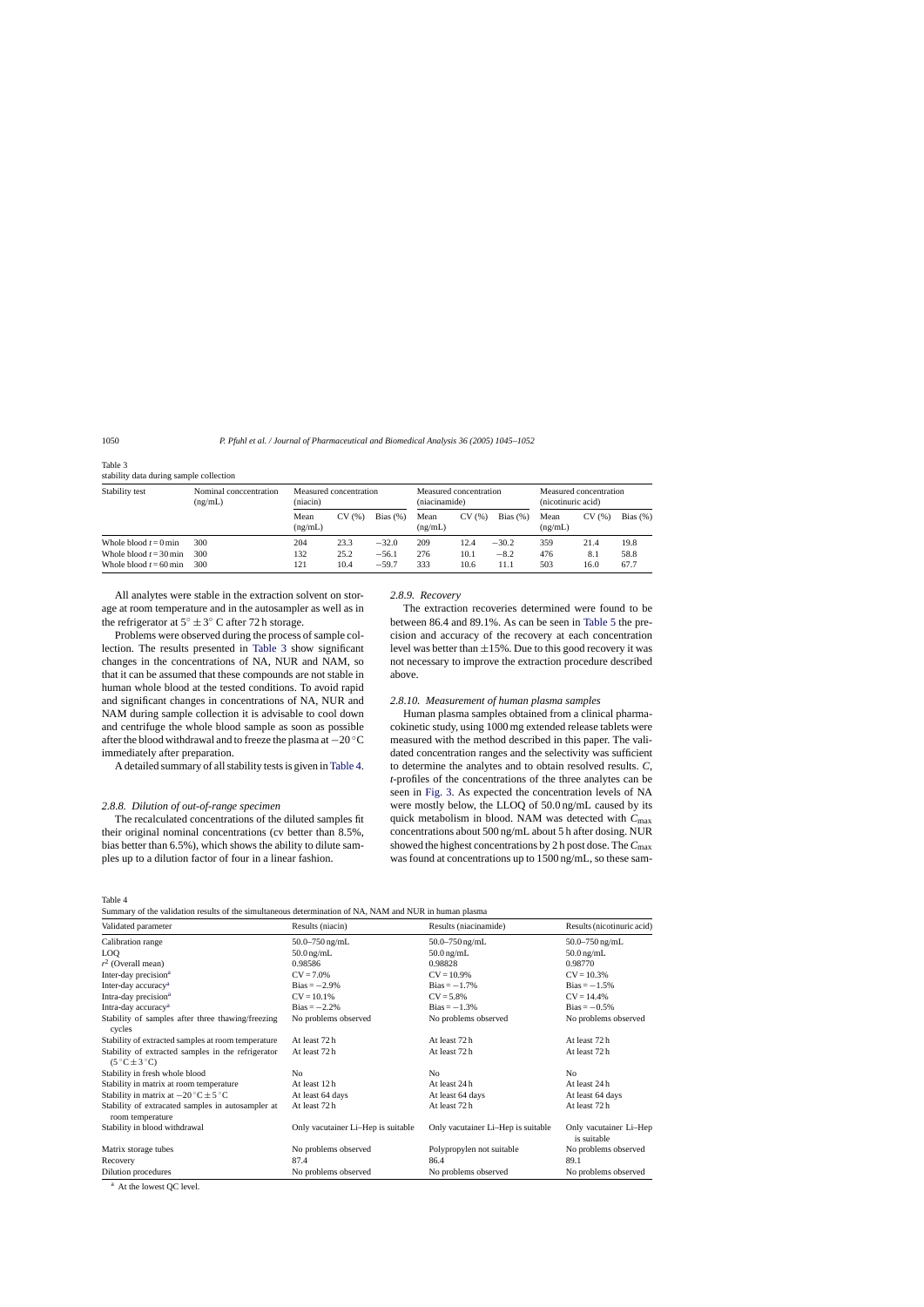| Stability test           | Nominal conceentration<br>(ng/mL) | Measured concentration<br>(niacin) |       | Measured concentration<br>(niacinamide) |                 |       | Measured concentration<br>(nicotinuric acid) |                 |       |             |
|--------------------------|-----------------------------------|------------------------------------|-------|-----------------------------------------|-----------------|-------|----------------------------------------------|-----------------|-------|-------------|
|                          |                                   | Mean<br>(ng/mL)                    | CV(%) | Bias $(\%)$                             | Mean<br>(ng/mL) | CV(%) | Bias $(\%)$                                  | Mean<br>(ng/mL) | CV(%) | Bias $(\%)$ |
| Whole blood $t = 0$ min  | 300                               | 204                                | 23.3  | $-32.0$                                 | 209             | 12.4  | $-30.2$                                      | 359             | 21.4  | 19.8        |
| Whole blood $t = 30$ min | 300                               | 132                                | 25.2  | $-56.1$                                 | 276             | 10.1  | $-8.2$                                       | 476             | 8.1   | 58.8        |
| Whole blood $t = 60$ min | 300                               | 121                                | 10.4  | $-59.7$                                 | 333             | 10.6  | 11.1                                         | 503             | 16.0  | 67.7        |

Table 3 stability data during sample collection

All analytes were stable in the extraction solvent on storage at room temperature and in the autosampler as well as in the refrigerator at  $5^\circ \pm 3^\circ$  C after 72 h storage.

Problems were observed during the process of sample collection. The results presented in Table 3 show significant changes in the concentrations of NA, NUR and NAM, so that it can be assumed that these compounds are not stable in human whole blood at the tested conditions. To avoid rapid and significant changes in concentrations of NA, NUR and NAM during sample collection it is advisable to cool down and centrifuge the whole blood sample as soon as possible after the blood withdrawal and to freeze the plasma at −20 ◦C immediately after preparation.

A detailed summary of all stability tests is given in Table 4.

## *2.8.8. Dilution of out-of-range specimen*

The recalculated concentrations of the diluted samples fit their original nominal concentrations (cv better than 8.5%, bias better than 6.5%), which shows the ability to dilute samples up to a dilution factor of four in a linear fashion.

## *2.8.9. Recovery*

The extraction recoveries determined were found to be between 86.4 and 89.1%. As can be seen in [Table 5 t](#page-6-0)he precision and accuracy of the recovery at each concentration level was better than  $\pm 15\%$ . Due to this good recovery it was not necessary to improve the extraction procedure described above.

#### *2.8.10. Measurement of human plasma samples*

Human plasma samples obtained from a clinical pharmacokinetic study, using 1000 mg extended release tablets were measured with the method described in this paper. The validated concentration ranges and the selectivity was sufficient to determine the analytes and to obtain resolved results. *C*, *t*-profiles of the concentrations of the three analytes can be seen in [Fig. 3.](#page-6-0) As expected the concentration levels of NA were mostly below, the LLOQ of 50.0 ng/mL caused by its quick metabolism in blood. NAM was detected with *C*max concentrations about 500 ng/mL about 5 h after dosing. NUR showed the highest concentrations by 2 h post dose. The *C*max was found at concentrations up to 1500 ng/mL, so these sam-

Table 4

Summary of the validation results of the simultaneous determination of NA, NAM and NUR in human plasma

| Validated parameter                                                                 | Results (niacin)                   | Results (niacinamide)              | Results (nicotinuric acid)            |
|-------------------------------------------------------------------------------------|------------------------------------|------------------------------------|---------------------------------------|
| Calibration range                                                                   | $50.0 - 750$ ng/mL                 | $50.0 - 750$ ng/mL                 | 50.0–750 ng/mL                        |
| LOQ                                                                                 | $50.0 \,\mathrm{ng/mL}$            | $50.0$ ng/mL                       | $50.0$ ng/mL                          |
| $r^2$ (Overall mean)                                                                | 0.98586                            | 0.98828                            | 0.98770                               |
| Inter-day precision <sup>a</sup>                                                    | $CV = 7.0\%$                       | $CV = 10.9\%$                      | $CV = 10.3%$                          |
| Inter-day accuracy <sup>a</sup>                                                     | $Bias = -2.9\%$                    | $Bias = -1.7\%$                    | $Bias = -1.5%$                        |
| Intra-day precision <sup>a</sup>                                                    | $CV = 10.1\%$                      | $CV = 5.8\%$                       | $CV = 14.4\%$                         |
| Intra-day accuracy <sup>a</sup>                                                     | $Bias = -2.2\%$                    | $Bias = -1.3\%$                    | $Bias = -0.5\%$                       |
| Stability of samples after three thawing/freezing<br>cycles                         | No problems observed               | No problems observed               | No problems observed                  |
| Stability of extracted samples at room temperature                                  | At least 72 h                      | At least 72 h                      | At least 72 h                         |
| Stability of extracted samples in the refrigerator<br>$(5^{\circ}C \pm 3^{\circ}C)$ | At least 72 h                      | At least 72 h                      | At least 72 h                         |
| Stability in fresh whole blood                                                      | N <sub>0</sub>                     | No.                                | N <sub>0</sub>                        |
| Stability in matrix at room temperature                                             | At least 12 h                      | At least 24 h                      | At least 24 h                         |
| Stability in matrix at $-20\degree C \pm 5\degree C$                                | At least 64 days                   | At least 64 days                   | At least 64 days                      |
| Stability of extracated samples in autosampler at<br>room temperature               | At least 72 h                      | At least 72h                       | At least 72 h                         |
| Stability in blood withdrawal                                                       | Only vacutainer Li-Hep is suitable | Only vacutainer Li-Hep is suitable | Only vacutainer Li-Hep<br>is suitable |
| Matrix storage tubes                                                                | No problems observed               | Polypropylen not suitable          | No problems observed                  |
| Recovery                                                                            | 87.4                               | 86.4                               | 89.1                                  |
| Dilution procedures                                                                 | No problems observed               | No problems observed               | No problems observed                  |

<sup>a</sup> At the lowest QC level.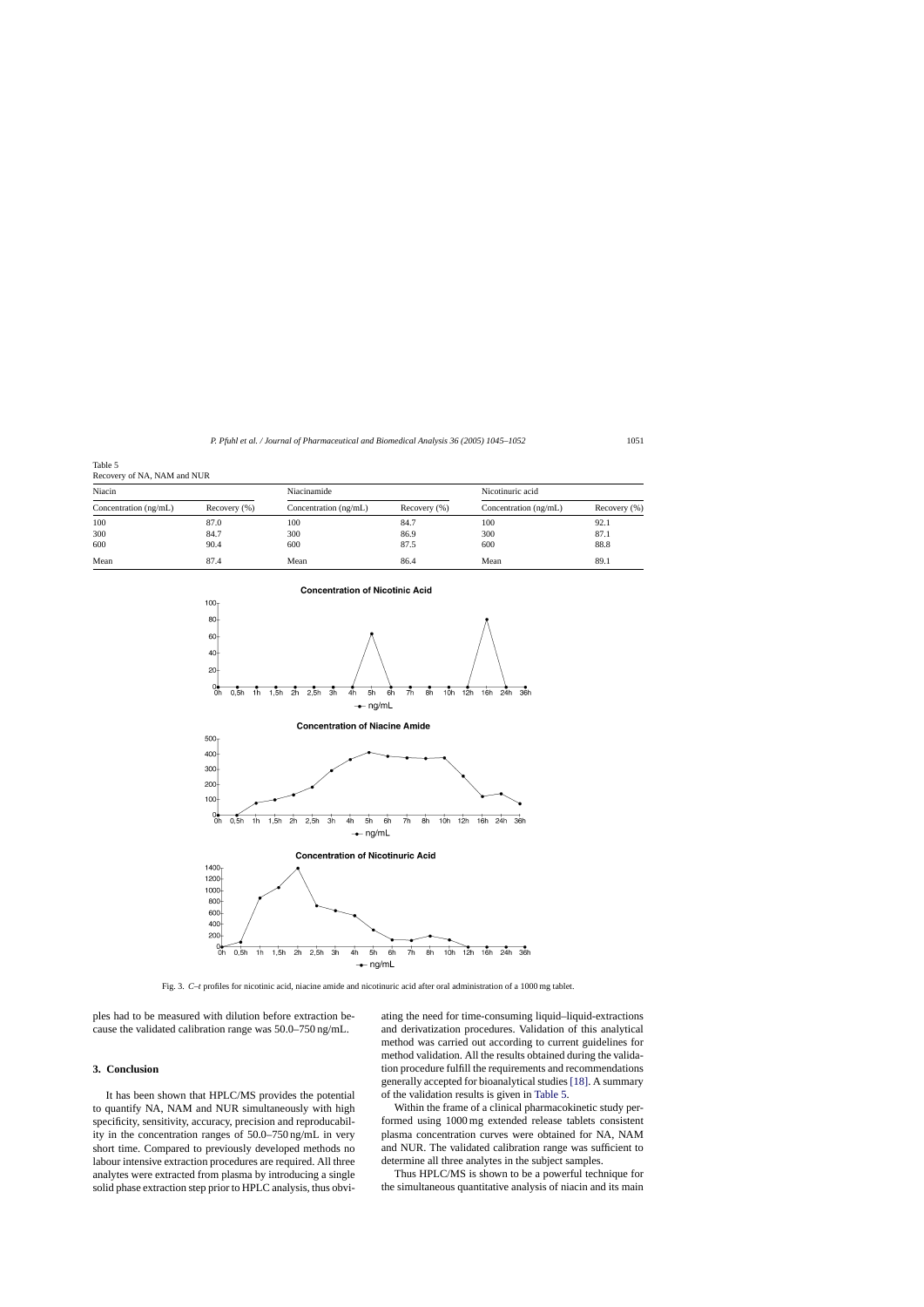<span id="page-6-0"></span>

| Table 5                     |  |
|-----------------------------|--|
| Recovery of NA, NAM and NUR |  |

| Niacin                  |                  | Niacinamide             |                  | Nicotinuric acid        |                  |  |
|-------------------------|------------------|-------------------------|------------------|-------------------------|------------------|--|
| Concentration $(ng/mL)$ | Recovery $(\% )$ | Concentration $(ng/mL)$ | Recovery $(\% )$ | Concentration $(ng/mL)$ | Recovery $(\% )$ |  |
| 100                     | 87.0             | 100                     | 84.7             | 100                     | 92.1             |  |
| 300                     | 84.7             | 300                     | 86.9             | 300                     | 87.1             |  |
| 600                     | 90.4             | 600                     | 87.5             | 600                     | 88.8             |  |
| Mean                    | 87.4             | Mean                    | 86.4             | Mean                    | 89.1             |  |



Fig. 3. *C*–*t* profiles for nicotinic acid, niacine amide and nicotinuric acid after oral administration of a 1000 mg tablet.

ples had to be measured with dilution before extraction because the validated calibration range was 50.0–750 ng/mL.

#### **3. Conclusion**

It has been shown that HPLC/MS provides the potential to quantify NA, NAM and NUR simultaneously with high specificity, sensitivity, accuracy, precision and reproducability in the concentration ranges of 50.0–750 ng/mL in very short time. Compared to previously developed methods no labour intensive extraction procedures are required. All three analytes were extracted from plasma by introducing a single solid phase extraction step prior to HPLC analysis, thus obviating the need for time-consuming liquid–liquid-extractions and derivatization procedures. Validation of this analytical method was carried out according to current guidelines for method validation. All the results obtained during the validation procedure fulfill the requirements and recommendations generally accepted for bioanalytical studies [\[18\]. A](#page-7-0) summary of the validation results is given in Table 5.

Within the frame of a clinical pharmacokinetic study performed using 1000 mg extended release tablets consistent plasma concentration curves were obtained for NA, NAM and NUR. The validated calibration range was sufficient to determine all three analytes in the subject samples.

Thus HPLC/MS is shown to be a powerful technique for the simultaneous quantitative analysis of niacin and its main